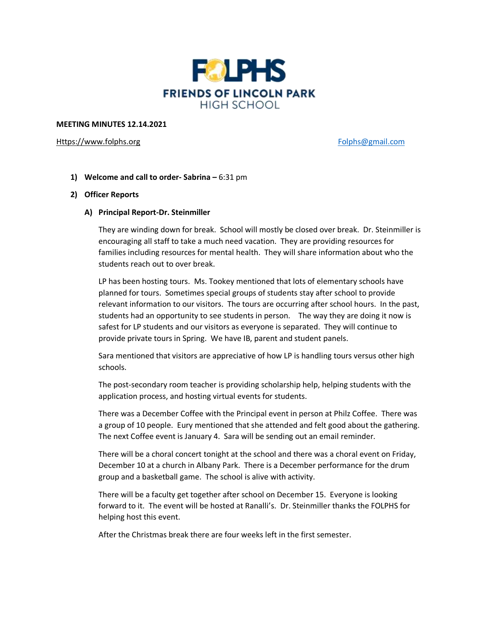

#### **MEETING MINUTES 12.14.2021**

[Https://www.folphs.org](https://www.folphs.org/) example and the state of the [Folphs@gmail.com](mailto:Folphs@gmail.com)

**1) Welcome and call to order- Sabrina –** 6:31 pm

# **2) Officer Reports**

### **A) Principal Report-Dr. Steinmiller**

They are winding down for break. School will mostly be closed over break. Dr. Steinmiller is encouraging all staff to take a much need vacation. They are providing resources for families including resources for mental health. They will share information about who the students reach out to over break.

LP has been hosting tours. Ms. Tookey mentioned that lots of elementary schools have planned for tours. Sometimes special groups of students stay after school to provide relevant information to our visitors. The tours are occurring after school hours. In the past, students had an opportunity to see students in person. The way they are doing it now is safest for LP students and our visitors as everyone is separated. They will continue to provide private tours in Spring. We have IB, parent and student panels.

Sara mentioned that visitors are appreciative of how LP is handling tours versus other high schools.

The post-secondary room teacher is providing scholarship help, helping students with the application process, and hosting virtual events for students.

There was a December Coffee with the Principal event in person at Philz Coffee. There was a group of 10 people. Eury mentioned that she attended and felt good about the gathering. The next Coffee event is January 4. Sara will be sending out an email reminder.

There will be a choral concert tonight at the school and there was a choral event on Friday, December 10 at a church in Albany Park. There is a December performance for the drum group and a basketball game. The school is alive with activity.

There will be a faculty get together after school on December 15. Everyone is looking forward to it. The event will be hosted at Ranalli's. Dr. Steinmiller thanks the FOLPHS for helping host this event.

After the Christmas break there are four weeks left in the first semester.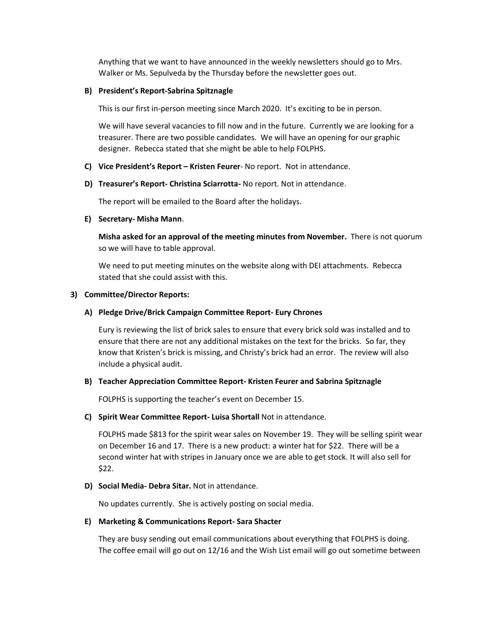Anything that we want to have announced in the weekly newsletters should go to Mrs. Walker or Ms. Sepulveda by the Thursday before the newsletter goes out.

# **B) President's Report-Sabrina Spitznagle**

This is our first in-person meeting since March 2020. It's exciting to be in person.

We will have several vacancies to fill now and in the future. Currently we are looking for a treasurer. There are two possible candidates. We will have an opening for our graphic designer. Rebecca stated that she might be able to help FOLPHS.

- **C) Vice President's Report – Kristen Feurer** No report. Not in attendance.
- **D) Treasurer's Report- Christina Sciarrotta-** No report. Not in attendance.

The report will be emailed to the Board after the holidays.

# **E) Secretary- Misha Mann**.

**Misha asked for an approval of the meeting minutes from November.** There is not quorum so we will have to table approval.

We need to put meeting minutes on the website along with DEI attachments. Rebecca stated that she could assist with this.

# **3) Committee/Director Reports:**

# **A) Pledge Drive/Brick Campaign Committee Report- Eury Chrones**

Eury is reviewing the list of brick sales to ensure that every brick sold was installed and to ensure that there are not any additional mistakes on the text for the bricks. So far, they know that Kristen's brick is missing, and Christy's brick had an error. The review will also include a physical audit.

### **B) Teacher Appreciation Committee Report- Kristen Feurer and Sabrina Spitznagle**

FOLPHS is supporting the teacher's event on December 15.

### **C) Spirit Wear Committee Report- Luisa Shortall** Not in attendance.

FOLPHS made \$813 for the spirit wear sales on November 19. They will be selling spirit wear on December 16 and 17. There is a new product: a winter hat for \$22. There will be a second winter hat with stripes in January once we are able to get stock. It will also sell for \$22.

# **D) Social Media- Debra Sitar.** Not in attendance.

No updates currently. She is actively posting on social media.

# **E) Marketing & Communications Report- Sara Shacter**

They are busy sending out email communications about everything that FOLPHS is doing. The coffee email will go out on 12/16 and the Wish List email will go out sometime between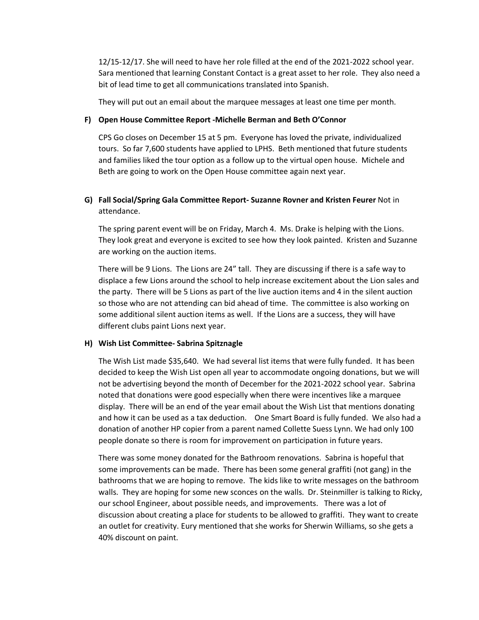12/15-12/17. She will need to have her role filled at the end of the 2021-2022 school year. Sara mentioned that learning Constant Contact is a great asset to her role. They also need a bit of lead time to get all communications translated into Spanish.

They will put out an email about the marquee messages at least one time per month.

#### **F) Open House Committee Report -Michelle Berman and Beth O'Connor**

CPS Go closes on December 15 at 5 pm. Everyone has loved the private, individualized tours. So far 7,600 students have applied to LPHS. Beth mentioned that future students and families liked the tour option as a follow up to the virtual open house. Michele and Beth are going to work on the Open House committee again next year.

# **G) Fall Social/Spring Gala Committee Report- Suzanne Rovner and Kristen Feurer** Not in attendance.

The spring parent event will be on Friday, March 4. Ms. Drake is helping with the Lions. They look great and everyone is excited to see how they look painted. Kristen and Suzanne are working on the auction items.

There will be 9 Lions. The Lions are 24" tall. They are discussing if there is a safe way to displace a few Lions around the school to help increase excitement about the Lion sales and the party. There will be 5 Lions as part of the live auction items and 4 in the silent auction so those who are not attending can bid ahead of time. The committee is also working on some additional silent auction items as well. If the Lions are a success, they will have different clubs paint Lions next year.

#### **H) Wish List Committee- Sabrina Spitznagle**

The Wish List made \$35,640. We had several list items that were fully funded. It has been decided to keep the Wish List open all year to accommodate ongoing donations, but we will not be advertising beyond the month of December for the 2021-2022 school year. Sabrina noted that donations were good especially when there were incentives like a marquee display. There will be an end of the year email about the Wish List that mentions donating and how it can be used as a tax deduction. One Smart Board is fully funded. We also had a donation of another HP copier from a parent named Collette Suess Lynn. We had only 100 people donate so there is room for improvement on participation in future years.

There was some money donated for the Bathroom renovations. Sabrina is hopeful that some improvements can be made. There has been some general graffiti (not gang) in the bathrooms that we are hoping to remove. The kids like to write messages on the bathroom walls. They are hoping for some new sconces on the walls. Dr. Steinmiller is talking to Ricky, our school Engineer, about possible needs, and improvements. There was a lot of discussion about creating a place for students to be allowed to graffiti. They want to create an outlet for creativity. Eury mentioned that she works for Sherwin Williams, so she gets a 40% discount on paint.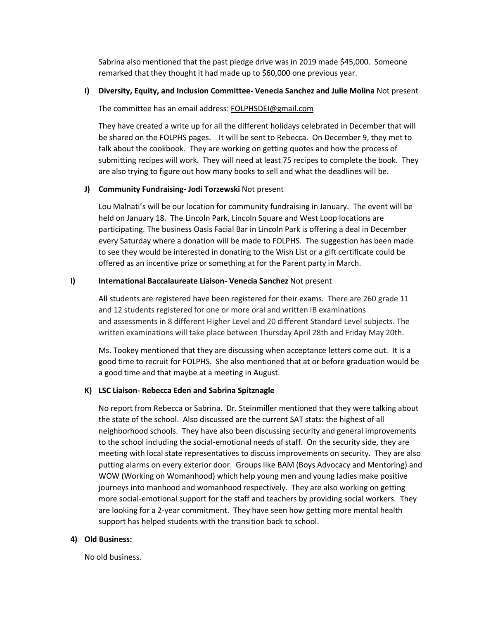Sabrina also mentioned that the past pledge drive was in 2019 made \$45,000. Someone remarked that they thought it had made up to \$60,000 one previous year.

# **I) Diversity, Equity, and Inclusion Committee- Venecia Sanchez and Julie Molina** Not present

### The committee has an email address: [FOLPHSDEI@gmail.com](mailto:FOLPHSDEI@gmail.com)

They have created a write up for all the different holidays celebrated in December that will be shared on the FOLPHS pages. It will be sent to Rebecca. On December 9, they met to talk about the cookbook. They are working on getting quotes and how the process of submitting recipes will work. They will need at least 75 recipes to complete the book. They are also trying to figure out how many books to sell and what the deadlines will be.

# **J) Community Fundraising- Jodi Torzewski** Not present

Lou Malnati's will be our location for community fundraising in January. The event will be held on January 18. The Lincoln Park, Lincoln Square and West Loop locations are participating. The business Oasis Facial Bar in Lincoln Park is offering a deal in December every Saturday where a donation will be made to FOLPHS. The suggestion has been made to see they would be interested in donating to the Wish List or a gift certificate could be offered as an incentive prize or something at for the Parent party in March.

# **I) International Baccalaureate Liaison- Venecia Sanchez** Not present

All students are registered have been registered for their exams. There are 260 grade 11 and 12 students registered for one or more oral and written IB examinations and assessments in 8 different Higher Level and 20 different Standard Level subjects. The written examinations will take place between Thursday April 28th and Friday May 20th.

Ms. Tookey mentioned that they are discussing when acceptance letters come out. It is a good time to recruit for FOLPHS. She also mentioned that at or before graduation would be a good time and that maybe at a meeting in August.

# **K) LSC Liaison- Rebecca Eden and Sabrina Spitznagle**

No report from Rebecca or Sabrina. Dr. Steinmiller mentioned that they were talking about the state of the school. Also discussed are the current SAT stats: the highest of all neighborhood schools. They have also been discussing security and general improvements to the school including the social-emotional needs of staff. On the security side, they are meeting with local state representatives to discuss improvements on security. They are also putting alarms on every exterior door. Groups like BAM (Boys Advocacy and Mentoring) and WOW (Working on Womanhood) which help young men and young ladies make positive journeys into manhood and womanhood respectively. They are also working on getting more social-emotional support for the staff and teachers by providing social workers. They are looking for a 2-year commitment. They have seen how getting more mental health support has helped students with the transition back to school.

### **4) Old Business:**

No old business.